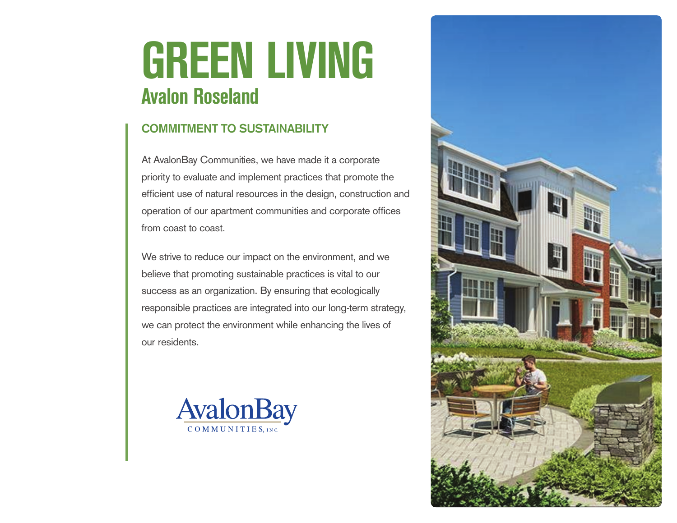# **GREEN LIVING Avalon Roseland**

### **COMMITMENT TO SUSTAINABILITY**

At AvalonBay Communities, we have made it a corporate priority to evaluate and implement practices that promote the efficient use of natural resources in the design, construction and operation of our apartment communities and corporate offices from coast to coast.

We strive to reduce our impact on the environment, and we believe that promoting sustainable practices is vital to our success as an organization. By ensuring that ecologically responsible practices are integrated into our long-term strategy, we can protect the environment while enhancing the lives of our residents.



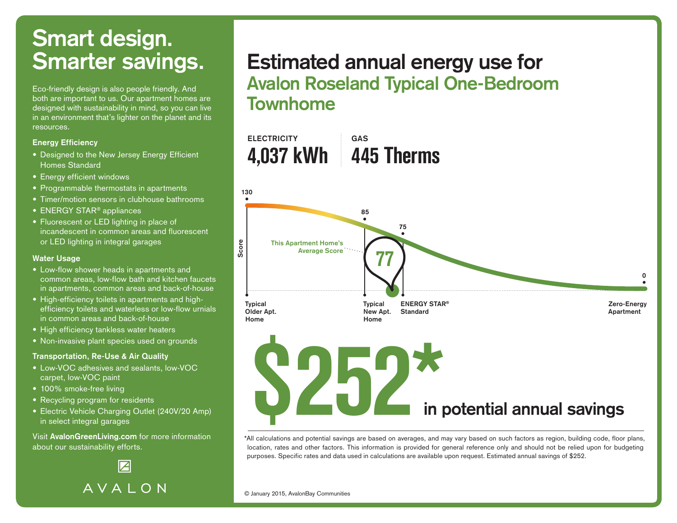## **Smart design. Smarter savings.**

Eco-friendly design is also people friendly. And both are important to us. Our apartment homes are designed with sustainability in mind, so you can live in an environment that's lighter on the planet and its resources.

#### **Energy Efficiency**

- **•** Designed to the New Jersey Energy Efficient Homes Standard
- **•**  Energy efficient windows
- **•**  Programmable thermostats in apartments
- Timer/motion sensors in clubhouse bathrooms
- **•**  ENERGY STAR® appliances
- **•**  Fluorescent or LED lighting in place of incandescent in common areas and fluorescent or LED lighting in integral garages

#### **Water Usage**

- **•**  Low-flow shower heads in apartments and common areas, low-flow bath and kitchen faucets in apartments, common areas and back-of-house
- High-efficiency toilets in apartments and highefficiency toilets and waterless or low-flow urnials in common areas and back-of-house
- **•**  High efficiency tankless water heaters
- Non-invasive plant species used on grounds

#### **Transportation, Re-Use & Air Quality**

- **•**  Low-VOC adhesives and sealants, low-VOC carpet, low-VOC paint
- **•**  100% smoke-free living
- **•**  Recycling program for residents
- **•**  Electric Vehicle Charging Outlet (240V/20 Amp) in select integral garages

Visit **AvalonGreenLiving.com** for more information about our sustainability efforts.

> $\boldsymbol{\mathsf{Z}}$ AVALON

### **Estimated annual energy use for Avalon Roseland Typical One-Bedroom Townhome**

**Typical New Apt. Home \$252\*in potential annual savings 130 Electricity 4,037 kWh 445 Therms Gas 0 Score Typical Older Apt. Home Zero-Energy Apartment 85 75 Energy Star® Standard 77 This Apartment Home's Average Score**

\*All calculations and potential savings are based on averages, and may vary based on such factors as region, building code, floor plans, location, rates and other factors. This information is provided for general reference only and should not be relied upon for budgeting purposes. Specific rates and data used in calculations are available upon request. Estimated annual savings of \$252.

© January 2015, AvalonBay Communities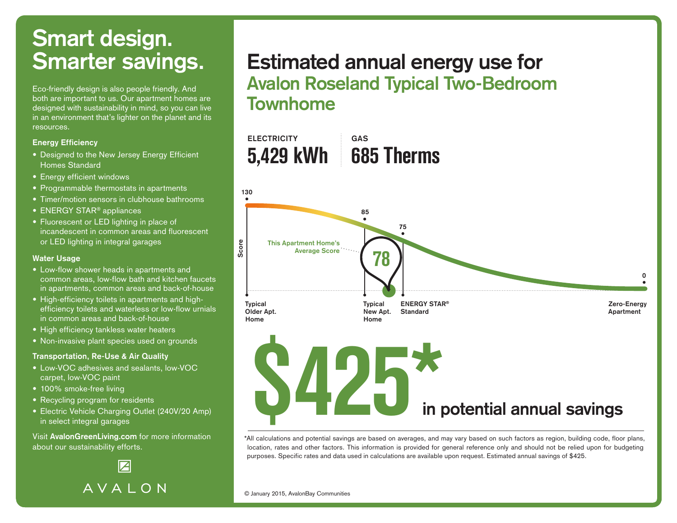## **Smart design. Smarter savings.**

Eco-friendly design is also people friendly. And both are important to us. Our apartment homes are designed with sustainability in mind, so you can live in an environment that's lighter on the planet and its resources.

#### **Energy Efficiency**

- **•** Designed to the New Jersey Energy Efficient Homes Standard
- **•**  Energy efficient windows
- **•**  Programmable thermostats in apartments
- Timer/motion sensors in clubhouse bathrooms
- ENERGY STAR<sup>®</sup> appliances
- **•**  Fluorescent or LED lighting in place of incandescent in common areas and fluorescent or LED lighting in integral garages

#### **Water Usage**

- **•**  Low-flow shower heads in apartments and common areas, low-flow bath and kitchen faucets in apartments, common areas and back-of-house
- High-efficiency toilets in apartments and highefficiency toilets and waterless or low-flow urnials in common areas and back-of-house
- **•**  High efficiency tankless water heaters
- Non-invasive plant species used on grounds

#### **Transportation, Re-Use & Air Quality**

- **•**  Low-VOC adhesives and sealants, low-VOC carpet, low-VOC paint
- **•**  100% smoke-free living
- **•**  Recycling program for residents
- **•**  Electric Vehicle Charging Outlet (240V/20 Amp) in select integral garages

Visit **AvalonGreenLiving.com** for more information about our sustainability efforts.

> $\boldsymbol{\mathsf{Z}}$ AVALON

### **Estimated annual energy use for Avalon Roseland Typical Two-Bedroom Townhome**

**Typical New Apt. Home \$425\*in potential annual savings 130 Electricity 5,429 kWh Gas 685 Therms 0 Score Typical Older Apt. Home Zero-Energy Apartment 85 75 Energy Star® Standard 78 This Apartment Home's Average Score**

\*All calculations and potential savings are based on averages, and may vary based on such factors as region, building code, floor plans, location, rates and other factors. This information is provided for general reference only and should not be relied upon for budgeting purposes. Specific rates and data used in calculations are available upon request. Estimated annual savings of \$425.

© January 2015, AvalonBay Communities